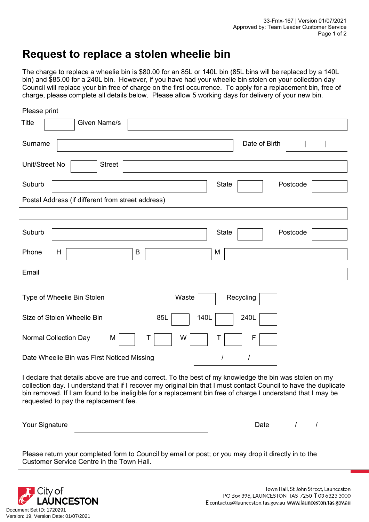## **Request to replace a stolen wheelie bin**

The charge to replace a wheelie bin is \$80.00 for an 85L or 140L bin (85L bins will be replaced by a 140L bin) and \$85.00 for a 240L bin. However, if you have had your wheelie bin stolen on your collection day Council will replace your bin free of charge on the first occurrence. To apply for a replacement bin, free of charge, please complete all details below. Please allow 5 working days for delivery of your new bin.

| Please print                                                                                                                                                                                                                                                                                                                                                                        |  |  |
|-------------------------------------------------------------------------------------------------------------------------------------------------------------------------------------------------------------------------------------------------------------------------------------------------------------------------------------------------------------------------------------|--|--|
| Title<br>Given Name/s                                                                                                                                                                                                                                                                                                                                                               |  |  |
| Date of Birth<br>Surname                                                                                                                                                                                                                                                                                                                                                            |  |  |
| Unit/Street No<br><b>Street</b>                                                                                                                                                                                                                                                                                                                                                     |  |  |
| Suburb<br>Postcode<br><b>State</b>                                                                                                                                                                                                                                                                                                                                                  |  |  |
| Postal Address (if different from street address)                                                                                                                                                                                                                                                                                                                                   |  |  |
|                                                                                                                                                                                                                                                                                                                                                                                     |  |  |
| Suburb<br><b>State</b><br>Postcode                                                                                                                                                                                                                                                                                                                                                  |  |  |
| B<br>Phone<br>H<br>M                                                                                                                                                                                                                                                                                                                                                                |  |  |
| Email                                                                                                                                                                                                                                                                                                                                                                               |  |  |
| Waste<br>Recycling<br>Type of Wheelie Bin Stolen                                                                                                                                                                                                                                                                                                                                    |  |  |
| Size of Stolen Wheelie Bin<br>85L<br>140L<br>240L                                                                                                                                                                                                                                                                                                                                   |  |  |
| <b>Normal Collection Day</b><br>W<br>M<br>F                                                                                                                                                                                                                                                                                                                                         |  |  |
| Date Wheelie Bin was First Noticed Missing<br>1                                                                                                                                                                                                                                                                                                                                     |  |  |
| I declare that details above are true and correct. To the best of my knowledge the bin was stolen on my<br>collection day. I understand that if I recover my original bin that I must contact Council to have the duplicate<br>bin removed. If I am found to be ineligible for a replacement bin free of charge I understand that I may be<br>requested to pay the replacement fee. |  |  |
| Your Signature<br>Date<br>$\prime$                                                                                                                                                                                                                                                                                                                                                  |  |  |

Please return your completed form to Council by email or post; or you may drop it directly in to the Customer Service Centre in the Town Hall.